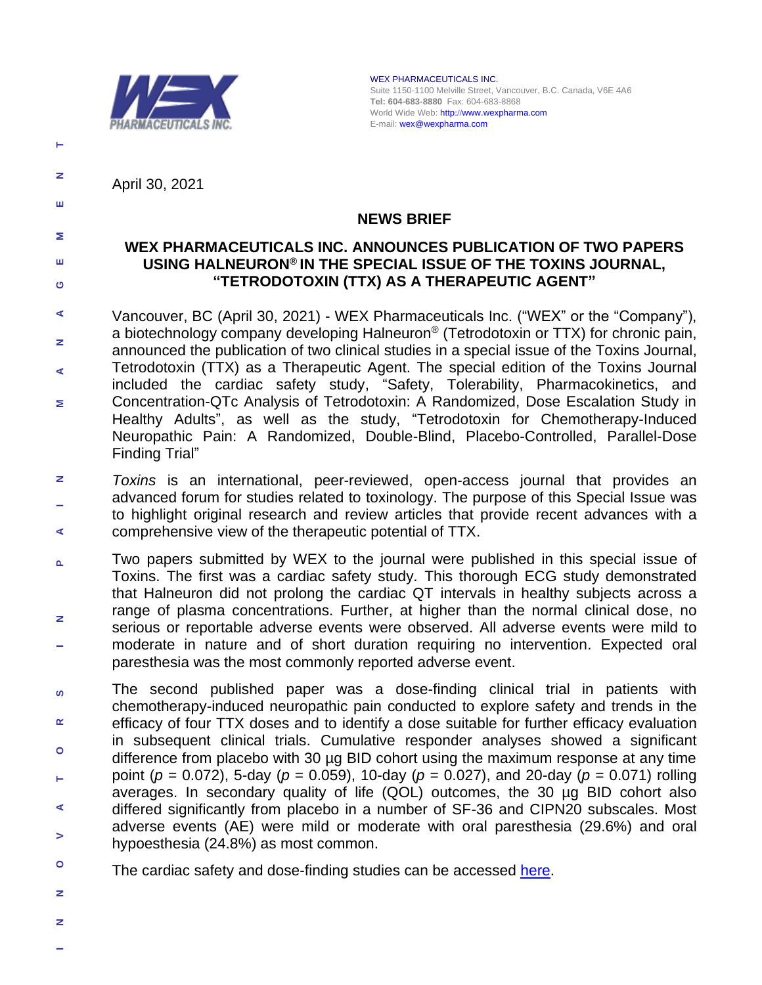

WEX PHARMACEUTICALS INC. Suite 1150-1100 Melville Street, Vancouver, B.C. Canada, V6E 4A6 **Tel: 604-683-8880** Fax: 604-683-8868 World Wide Web: http://[www.wexpharma.com](http://www.wexpharma.com/) E-mail[: wex@wexpharma.com](mailto:wex@wexpharma.com) 

April 30, 2021

**E N** 

**T**

**M**

**GE** 

# **NEWS BRIEF**

## **WEX PHARMACEUTICALS INC. ANNOUNCES PUBLICATION OF TWO PAPERS USING HALNEURON® IN THE SPECIAL ISSUE OF THE TOXINS JOURNAL, "TETRODOTOXIN (TTX) AS A THERAPEUTIC AGENT"**

- **M A N A**Vancouver, BC (April 30, 2021) - WEX Pharmaceuticals Inc. ("WEX" or the "Company"), a biotechnology company developing Halneuron® (Tetrodotoxin or TTX) for chronic pain, announced the publication of two clinical studies in a special issue of the Toxins Journal, Tetrodotoxin (TTX) as a Therapeutic Agent. The special edition of the Toxins Journal included the cardiac safety study, "Safety, Tolerability, Pharmacokinetics, and Concentration-QTc Analysis of Tetrodotoxin: A Randomized, Dose Escalation Study in Healthy Adults", as well as the study, "Tetrodotoxin for Chemotherapy-Induced Neuropathic Pain: A Randomized, Double-Blind, Placebo-Controlled, Parallel-Dose Finding Trial"
- **A I N** *Toxins* is an international, [peer-reviewed,](https://www.mdpi.com/editorial_process) open-access journal that provides an advanced forum for studies related to toxinology. The purpose of this Special Issue was to highlight original research and review articles that provide recent advances with a comprehensive view of the therapeutic potential of TTX.
- Two papers submitted by WEX to the journal were published in this special issue of  $\mathbf{a}$  **R S I N P**  Toxins. The first was a cardiac safety study. This thorough ECG study demonstrated that Halneuron did not prolong the cardiac QT intervals in healthy subjects across a range of plasma concentrations. Further, at higher than the normal clinical dose, no z serious or reportable adverse events were observed. All adverse events were mild to moderate in nature and of short duration requiring no intervention. Expected oral paresthesia was the most commonly reported adverse event.
- The second published paper was a dose-finding clinical trial in patients with ശ chemotherapy-induced neuropathic pain conducted to explore safety and trends in the œ efficacy of four TTX doses and to identify a dose suitable for further efficacy evaluation in subsequent clinical trials. Cumulative responder analyses showed a significant **O**difference from placebo with 30 µg BID cohort using the maximum response at any time point (*p* = 0.072), 5-day (*p* = 0.059), 10-day (*p* = 0.027), and 20-day (*p* = 0.071) rolling **T**averages. In secondary quality of life (QOL) outcomes, the 30 µg BID cohort also differed significantly from placebo in a number of SF-36 and CIPN20 subscales. Most **A**adverse events (AE) were mild or moderate with oral paresthesia (29.6%) and oral  $\geq$ hypoesthesia (24.8%) as most common.
- **O**The cardiac safety and dose-finding studies can be accessed [here.](https://www.mdpi.com/2072-6651/12/8/511)
- **N N**
- **I**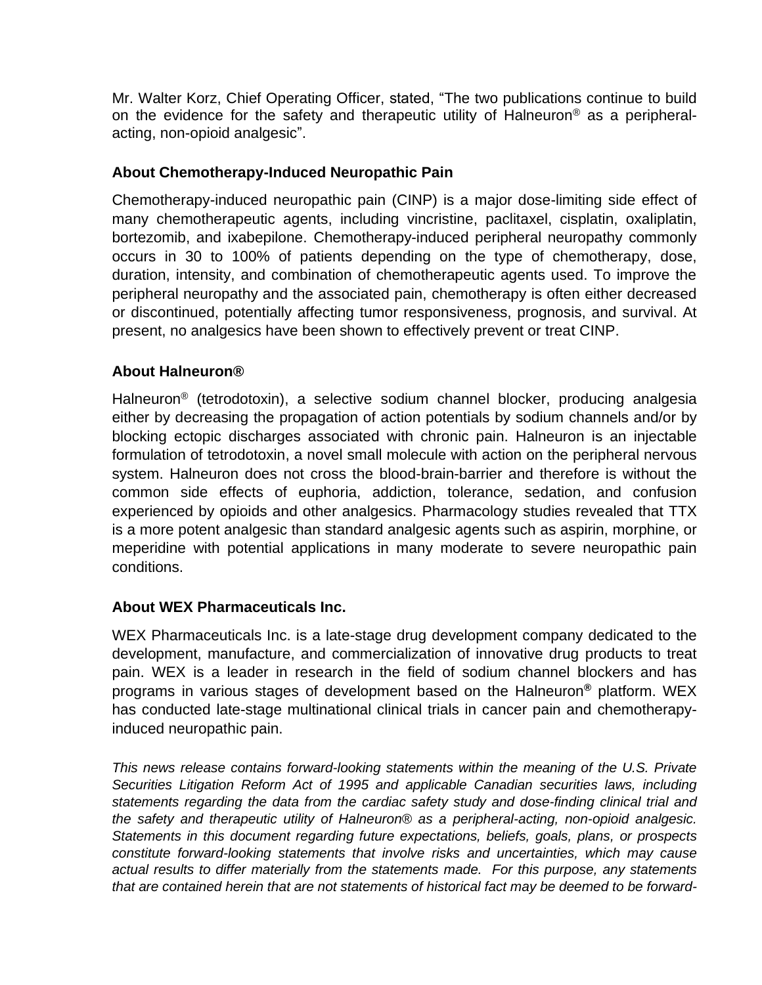Mr. Walter Korz, Chief Operating Officer, stated, "The two publications continue to build on the evidence for the safety and therapeutic utility of Halneuron® as a peripheralacting, non-opioid analgesic".

# **About Chemotherapy-Induced Neuropathic Pain**

Chemotherapy-induced neuropathic pain (CINP) is a major dose-limiting side effect of many chemotherapeutic agents, including vincristine, paclitaxel, cisplatin, oxaliplatin, bortezomib, and ixabepilone. Chemotherapy-induced peripheral neuropathy commonly occurs in 30 to 100% of patients depending on the type of chemotherapy, dose, duration, intensity, and combination of chemotherapeutic agents used. To improve the peripheral neuropathy and the associated pain, chemotherapy is often either decreased or discontinued, potentially affecting tumor responsiveness, prognosis, and survival. At present, no analgesics have been shown to effectively prevent or treat CINP.

## **About Halneuron®**

Halneuron® (tetrodotoxin), a selective sodium channel blocker, producing analgesia either by decreasing the propagation of action potentials by sodium channels and/or by blocking ectopic discharges associated with chronic pain. Halneuron is an injectable formulation of tetrodotoxin, a novel small molecule with action on the peripheral nervous system. Halneuron does not cross the blood-brain-barrier and therefore is without the common side effects of euphoria, addiction, tolerance, sedation, and confusion experienced by opioids and other analgesics. Pharmacology studies revealed that TTX is a more potent analgesic than standard analgesic agents such as aspirin, morphine, or meperidine with potential applications in many moderate to severe neuropathic pain conditions.

#### **About WEX Pharmaceuticals Inc.**

WEX Pharmaceuticals Inc. is a late-stage drug development company dedicated to the development, manufacture, and commercialization of innovative drug products to treat pain. WEX is a leader in research in the field of sodium channel blockers and has programs in various stages of development based on the Halneuron**®** platform. WEX has conducted late-stage multinational clinical trials in cancer pain and chemotherapyinduced neuropathic pain.

*This news release contains forward-looking statements within the meaning of the U.S. Private Securities Litigation Reform Act of 1995 and applicable Canadian securities laws, including statements regarding the data from the cardiac safety study and dose-finding clinical trial and the safety and therapeutic utility of Halneuron® as a peripheral-acting, non-opioid analgesic. Statements in this document regarding future expectations, beliefs, goals, plans, or prospects constitute forward-looking statements that involve risks and uncertainties, which may cause actual results to differ materially from the statements made. For this purpose, any statements that are contained herein that are not statements of historical fact may be deemed to be forward-*